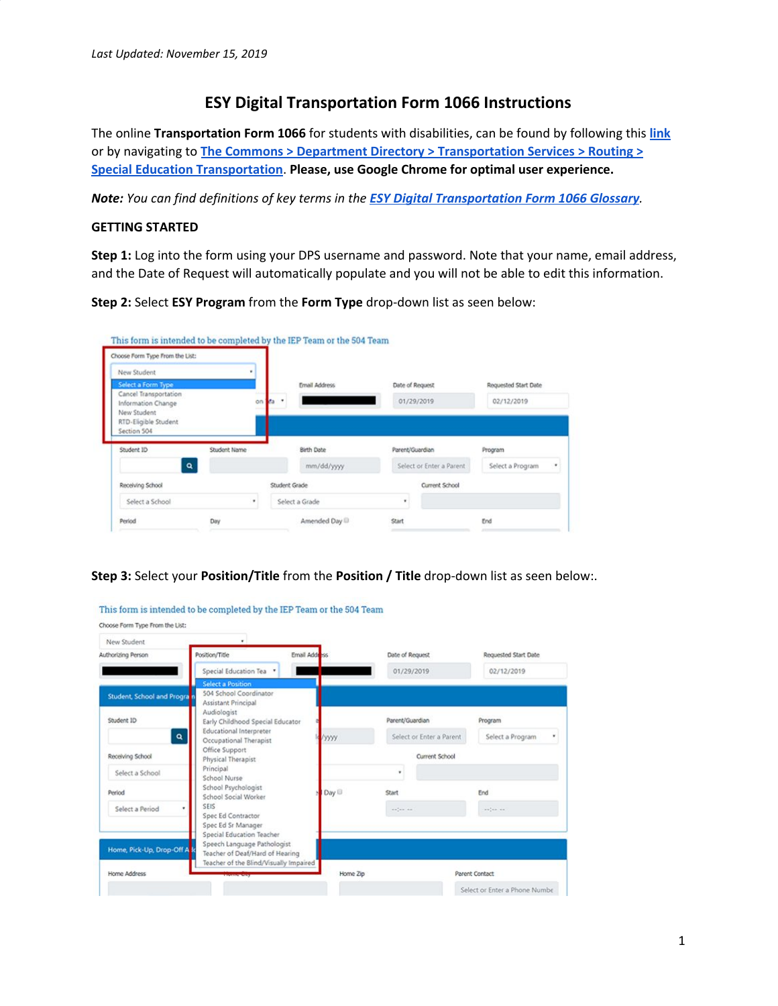# **ESY Digital Transportation Form 1066 Instructions**

The online **Transportation Form 1066** for students with disabilities, can be found by following this **[link](https://webapps.dpsk12.org/Online1066Form)** or by navigating to **The Commons > Department Directory > [Transportation](http://thecommons.dpsk12.org/Page/2200) Services > Routing > Special Education [Transportation](http://thecommons.dpsk12.org/Page/2200)**. **Please, use Google Chrome for optimal user experience.**

*Note: You can find definitions of key terms in the ESY Digital [Transportation](https://docs.google.com/document/d/1gCxWpytvDj-m015RXWOYWREbSEdBixHb53FYoCUUeoE/edit#heading=h.gjdgxs) Form 1066 Glossary.*

### **GETTING STARTED**

**Step 1:** Log into the form using your DPS username and password. Note that your name, email address, and the Date of Request will automatically populate and you will not be able to edit this information.

**Step 2:** Select **ESY Program** from the **Form Type** drop-down list as seen below:

| New Student                                                                                       |              |            |                   |                          |                      |
|---------------------------------------------------------------------------------------------------|--------------|------------|-------------------|--------------------------|----------------------|
| Select a Form Type                                                                                |              |            | Email Address     | Date of Request          | Requested Start Date |
| Cancel Transportation<br>Information Change<br>New Student<br>RTD-Eligible Student<br>Section 504 |              | da v<br>on |                   | 01/29/2019               | 02/12/2019           |
|                                                                                                   |              |            |                   |                          |                      |
|                                                                                                   | Student Name |            | <b>Birth Date</b> | Parent/Guardian          | Program              |
| $\alpha$                                                                                          |              |            | mm/dd/yyyy        | Select or Enter a Parent | Select a Program     |
|                                                                                                   |              |            | Student Grade     | Current School           |                      |
| Student ID<br>Receiving School<br>Select a School                                                 |              |            | Select a Grade    |                          | ٠                    |

# **Step 3:** Select your **Position/Title** from the **Position / Title** drop-down list as seen below:.

| New Student                                                     |                                                                                                                                                                                   |                    |                                             |                                |
|-----------------------------------------------------------------|-----------------------------------------------------------------------------------------------------------------------------------------------------------------------------------|--------------------|---------------------------------------------|--------------------------------|
| Authorizing Person                                              | Position/Title                                                                                                                                                                    | Email Address      | Date of Request                             | Requested Start Date           |
|                                                                 | Special Education Tea                                                                                                                                                             |                    | 01/29/2019                                  | 02/12/2019                     |
| <b>Student, School and Progra</b><br>Student ID<br>$\mathbf{Q}$ | <b>Select a Position</b><br>504 School Coordinator<br>Assistant Principal<br>Audiologist<br>Early Childhood Special Educator<br>Educational Interpreter<br>Occupational Therapist | yyyy               | Parent/Guardian<br>Select or Enter a Parent | Program<br>Select a Program    |
| Receiving School<br>Select a School                             | Office Support<br>Physical Therapist<br>Principal<br>School Nurse                                                                                                                 |                    | Current School                              |                                |
| Period<br>Select a Period                                       | School Psychologist<br>School Social Worker<br><b>SEIS</b><br>Spec Ed Contractor<br>Spec Ed Sr Manager                                                                            | Day <sup>[1]</sup> | Start<br>anten an                           | End<br>$\sim n^2$ and $\sim n$ |
| Home, Pick-Up, Drop-Off A<br>Home Address                       | Special Education Teacher<br>Speech Language Pathologist<br>Teacher of Deaf/Hard of Hearing<br>Teacher of the Blind/Visually Impaired                                             | Home Zip           |                                             | Parent Contact                 |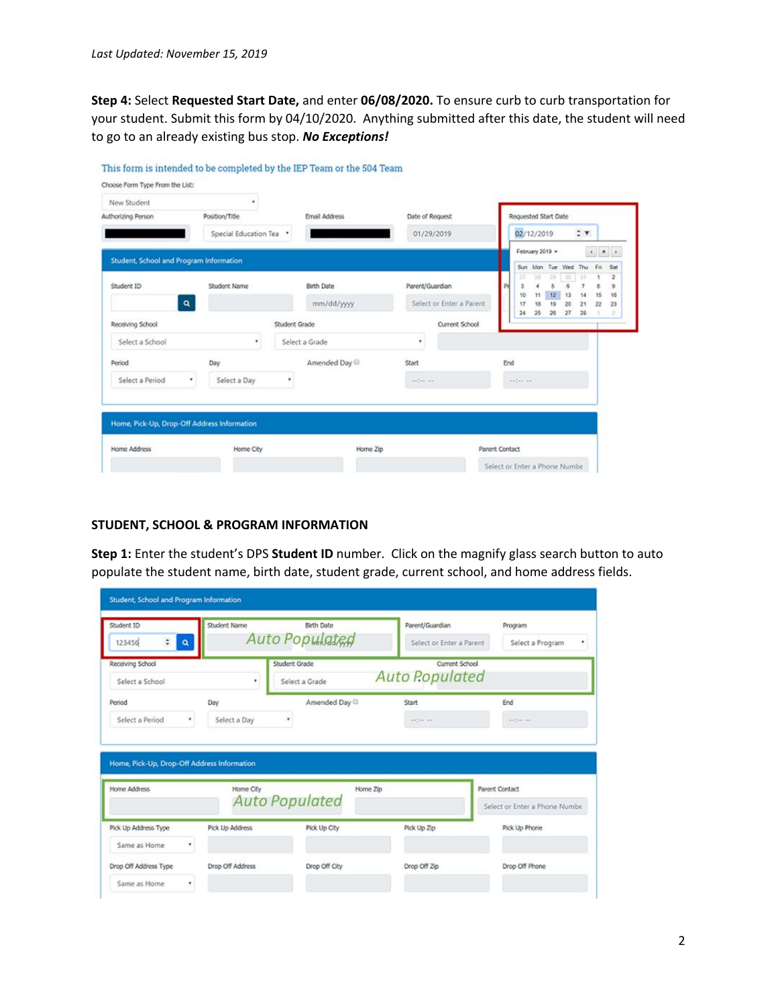**Step 4:** Select **Requested Start Date,** and enter **06/08/2020.** To ensure curb to curb transportation for your student. Submit this form by 04/10/2020. Anything submitted after this date, the student will need to go to an already existing bus stop. *No Exceptions!*

| New Student                                 |                       |               |                                 |          |                                             |     |                                                                                                                                                                                                                                                 |                     |                                                           |                     |                                  |                                       |                                   |
|---------------------------------------------|-----------------------|---------------|---------------------------------|----------|---------------------------------------------|-----|-------------------------------------------------------------------------------------------------------------------------------------------------------------------------------------------------------------------------------------------------|---------------------|-----------------------------------------------------------|---------------------|----------------------------------|---------------------------------------|-----------------------------------|
| Authorizing Person                          | Position/Title        |               | <b>Email Address</b>            |          | Date of Request                             |     |                                                                                                                                                                                                                                                 |                     | Requested Start Date                                      |                     |                                  |                                       |                                   |
|                                             | Special Education Tea |               |                                 |          | 01/29/2019                                  |     |                                                                                                                                                                                                                                                 | 02/12/2019          |                                                           |                     | $\div$ v                         |                                       |                                   |
| Student, School and Program Information     |                       |               |                                 |          |                                             |     |                                                                                                                                                                                                                                                 | February 2019 v     |                                                           |                     |                                  | $\bullet \quad \bullet \quad \bullet$ |                                   |
| Student ID<br>$\mathbf{Q}_\mathrm{c}$       | Student Name          |               | <b>Birth Date</b><br>mm/dd/yyyy |          | Parent/Guardian<br>Select or Enter a Parent |     | 10<br>17                                                                                                                                                                                                                                        | 28<br>A<br>11<br>18 | Sun Mon Tue Wed Thu<br>29<br>5<br> 12 <br>19 <sub>1</sub> | 30<br>6<br>12<br>20 | 33<br>$\overline{z}$<br>14<br>21 | Fn<br>٠<br>8<br>15<br>22              | Sat<br>$\bar{2}$<br>9<br>16<br>23 |
| Receiving School                            |                       | Student Grade |                                 |          | Current School                              |     | 24                                                                                                                                                                                                                                              |                     | $25 - 26$                                                 | 27                  | 28                               | $\mathcal{A}$                         | $\mathcal{D}$                     |
| Select a School                             | $\star$               |               | Select a Grade                  | ٠        |                                             |     |                                                                                                                                                                                                                                                 |                     |                                                           |                     |                                  |                                       |                                   |
| Period                                      | Day                   |               | Amended Day                     | Start    |                                             | End |                                                                                                                                                                                                                                                 |                     |                                                           |                     |                                  |                                       |                                   |
| Select a Period<br>۰                        | Select a Day          | ٠             |                                 | welve we |                                             |     | $\label{eq:1} \begin{split} \mathcal{L}^{\alpha}(\mathcal{L}^{\alpha}) = \mathcal{L}^{\alpha}(\mathcal{L}^{\alpha}) \quad \text{and} \quad \mathcal{L}^{\alpha}(\mathcal{L}^{\alpha}) = \mathcal{L}^{\alpha}(\mathcal{L}^{\alpha}) \end{split}$ |                     |                                                           |                     |                                  |                                       |                                   |
| Home, Pick-Up, Drop-Off Address Information |                       |               |                                 |          |                                             |     |                                                                                                                                                                                                                                                 |                     |                                                           |                     |                                  |                                       |                                   |

#### **STUDENT, SCHOOL & PROGRAM INFORMATION**

**Step 1:** Enter the student's DPS **Student ID** number. Click on the magnify glass search button to auto populate the student name, birth date, student grade, current school, and home address fields.

| Student ID<br>$\ddot{\phantom{1}}$<br>123456<br>$\mathbf{Q}$                                                 | Student Name      | <b>Birth Date</b><br>Auto Populated | Parent/Guardian<br>Select or Enter a Parent                                                                                                                                                                                                                                                                                             | Program<br>Select a Program<br>٠                                                                                                                                                                                                                                                                                                                                                                                                                                           |
|--------------------------------------------------------------------------------------------------------------|-------------------|-------------------------------------|-----------------------------------------------------------------------------------------------------------------------------------------------------------------------------------------------------------------------------------------------------------------------------------------------------------------------------------------|----------------------------------------------------------------------------------------------------------------------------------------------------------------------------------------------------------------------------------------------------------------------------------------------------------------------------------------------------------------------------------------------------------------------------------------------------------------------------|
| Receiving School<br>Select a School                                                                          | ٠                 | Student Grade<br>Select a Grade     | Current School<br><b>Auto Populated</b>                                                                                                                                                                                                                                                                                                 |                                                                                                                                                                                                                                                                                                                                                                                                                                                                            |
| Period                                                                                                       | Day               | Amended Day                         | Start                                                                                                                                                                                                                                                                                                                                   | End                                                                                                                                                                                                                                                                                                                                                                                                                                                                        |
| Select a Period                                                                                              | Select a Day<br>٠ | ٠                                   | $\begin{array}{c} \multicolumn{3}{c} {\scriptstyle \hspace*{-0.8ex} \textbf{m} \hspace*{-0.8ex} \textbf{m}}} \end{array} \begin{array}{c} \multicolumn{3}{c} {\scriptstyle \textbf{m} \hspace*{-0.8ex} \textbf{m}}} \end{array} \begin{array}{c} \multicolumn{3}{c} {\scriptstyle \textbf{m} \hspace*{-0.8ex} \textbf{m}}} \end{array}$ | $\frac{1}{2} \left( \frac{1}{2} \right) \left( \frac{1}{2} \right) \left( \frac{1}{2} \right) \left( \frac{1}{2} \right) \left( \frac{1}{2} \right) \left( \frac{1}{2} \right) \left( \frac{1}{2} \right) \left( \frac{1}{2} \right) \left( \frac{1}{2} \right) \left( \frac{1}{2} \right) \left( \frac{1}{2} \right) \left( \frac{1}{2} \right) \left( \frac{1}{2} \right) \left( \frac{1}{2} \right) \left( \frac{1}{2} \right) \left( \frac{1}{2} \right) \left( \frac$ |
|                                                                                                              |                   |                                     |                                                                                                                                                                                                                                                                                                                                         |                                                                                                                                                                                                                                                                                                                                                                                                                                                                            |
|                                                                                                              | Home City         | Home Zip                            |                                                                                                                                                                                                                                                                                                                                         | Parent Contact                                                                                                                                                                                                                                                                                                                                                                                                                                                             |
|                                                                                                              |                   | <b>Auto Populated</b>               |                                                                                                                                                                                                                                                                                                                                         | Select or Enter a Phone Numbe                                                                                                                                                                                                                                                                                                                                                                                                                                              |
|                                                                                                              | Pick Up Address   | Pick Up City                        | Pick Up Zip                                                                                                                                                                                                                                                                                                                             | Pick Up Phone                                                                                                                                                                                                                                                                                                                                                                                                                                                              |
| Same as Home<br>٠                                                                                            |                   |                                     |                                                                                                                                                                                                                                                                                                                                         |                                                                                                                                                                                                                                                                                                                                                                                                                                                                            |
| Home, Pick-Up, Drop-Off Address Information<br>Home Address<br>Pick Up Address Type<br>Drop Off Address Type | Drop Off Address  | Drop Off City                       | Drop Off Zip                                                                                                                                                                                                                                                                                                                            | Drop Off Phone                                                                                                                                                                                                                                                                                                                                                                                                                                                             |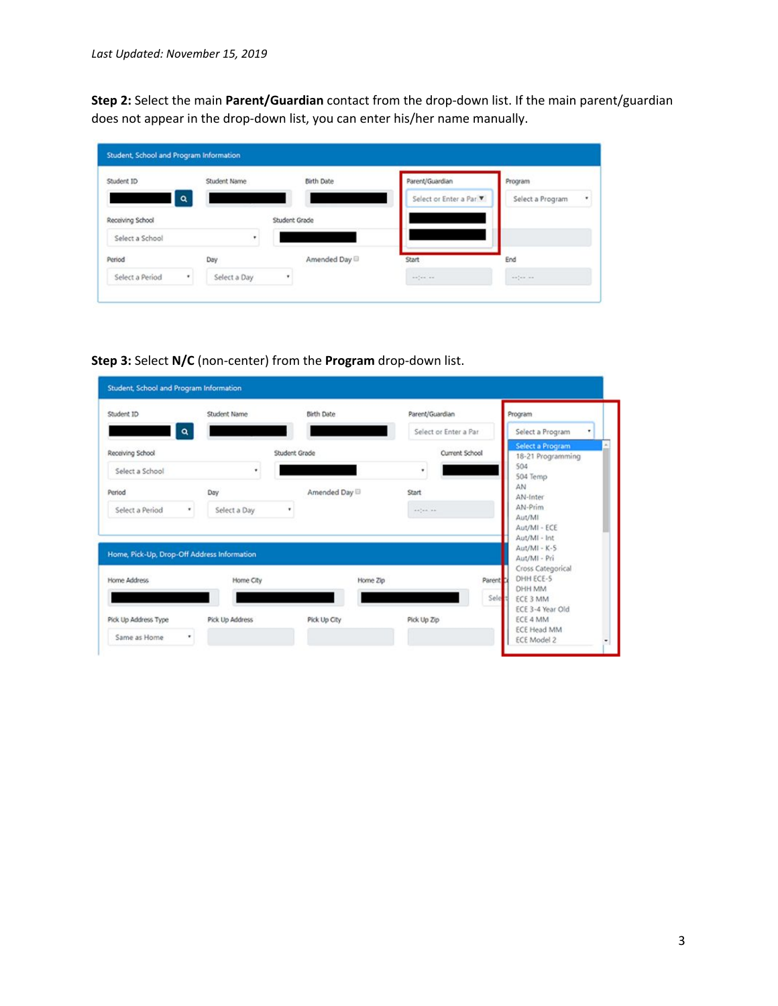**Step 2:** Select the main **Parent/Guardian** contact from the drop-down list. If the main parent/guardian does not appear in the drop-down list, you can enter his/her name manually.

| Student ID       | Student Name      | <b>Birth Date</b> | Parent/Guardian              | Program                                     |
|------------------|-------------------|-------------------|------------------------------|---------------------------------------------|
| a<br>ı           |                   |                   | Select or Enter a Par        | Select a Program                            |
| Receiving School |                   | Student Grade     |                              |                                             |
| Select a School  | ٠                 |                   |                              |                                             |
| Period           | Day               | Amended Day       | Start                        | End                                         |
| Select a Period  | Select a Day<br>٠ | ٠                 | $\alpha=\alpha+\alpha$ , and | $\alpha\alpha^2_{\perp}$ and $\alpha\alpha$ |

**Step 3:** Select **N/C** (non-center) from the **Program** drop-down list.

| Student ID                                  | Student Name    | <b>Birth Date</b> | Parent/Guardian       | Program                                               |
|---------------------------------------------|-----------------|-------------------|-----------------------|-------------------------------------------------------|
| ۰                                           |                 |                   | Select or Enter a Par | Select a Program<br>۰<br>Select a Program             |
| Receiving School<br>Select a School         |                 | Student Grade     | Current School<br>٠   | 18-21 Programming<br>504                              |
| Period                                      | Day             | Amended Day       | Start                 | 504 Temp<br>AN<br>AN-Inter                            |
| Select a Period<br>۰                        | Select a Day    | ٠                 | anten en              | AN-Prim<br>Aut/MI<br>Aut/MI - ECE                     |
| Home, Pick-Up, Drop-Off Address Information |                 |                   |                       | Aut/MI - Int<br>Aut/MI - K-S<br>Aut/MI - Pri          |
| Home Address                                | Home City       | Home Zip          |                       | Cross Categorical<br>DHH ECE-5<br>Parent Li<br>DHH MM |
| Pick Up Address Type                        | Pick Up Address | Pick Up City      | Pick Up Zip           | Sele<br>ECE 3 MM<br>ECE 3-4 Year Old<br>ECE 4 MM      |
| Same as Home<br>٠                           |                 |                   |                       | ECE Head MM                                           |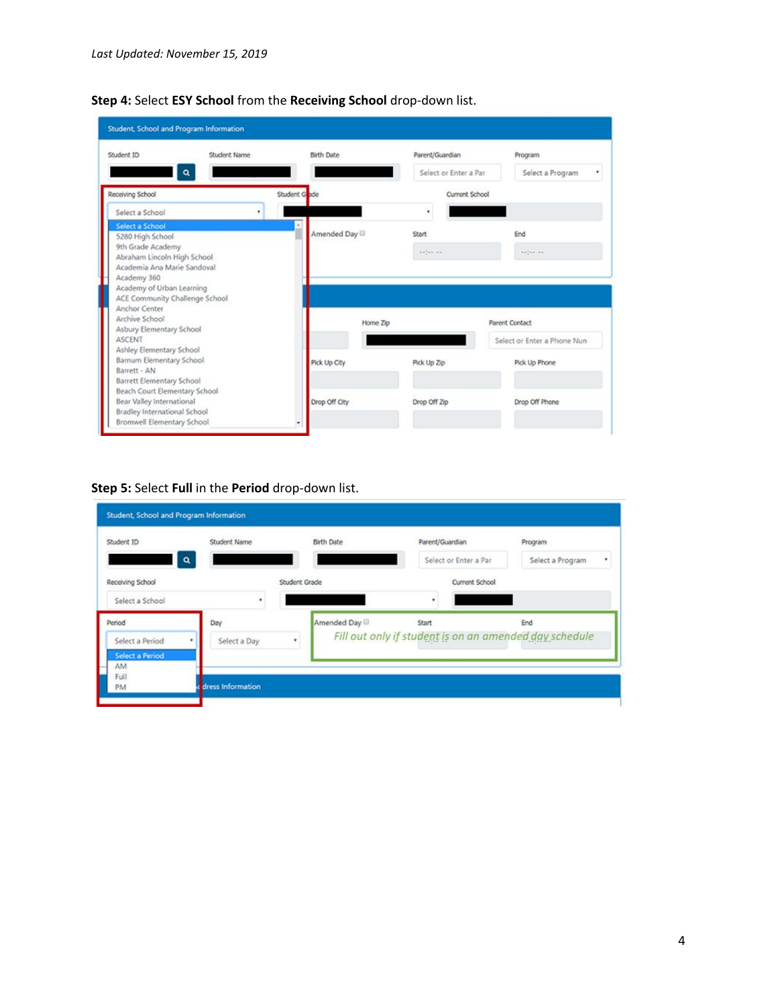| Student Name<br>Student ID<br>Q                      |              | Birth Date<br>Parent/Guardian |              | Program<br>Select or Enter a Par<br>Select a Program                                                                                                                            |
|------------------------------------------------------|--------------|-------------------------------|--------------|---------------------------------------------------------------------------------------------------------------------------------------------------------------------------------|
| Receiving School                                     | Student Gode |                               |              | Current School                                                                                                                                                                  |
| Select a School                                      | ٠            |                               | ٠            |                                                                                                                                                                                 |
| <b>Select a School</b>                               |              | Amended Day                   | Start        | End                                                                                                                                                                             |
| 5280 High School<br>9th Grade Academy                |              |                               |              |                                                                                                                                                                                 |
| Abraham Lincoln High School                          |              |                               | exter as     | $\frac{1}{2} \left( \frac{1}{2} \right) \left( \frac{1}{2} \right) \left( \frac{1}{2} \right) \left( \frac{1}{2} \right) \left( \frac{1}{2} \right) \left( \frac{1}{2} \right)$ |
| Academia Ana Marie Sandoval                          |              |                               |              |                                                                                                                                                                                 |
| Academy 360                                          |              |                               |              |                                                                                                                                                                                 |
| Academy of Urban Learning                            |              |                               |              |                                                                                                                                                                                 |
| ACE Community Challenge School                       |              |                               |              |                                                                                                                                                                                 |
| Anchor Center                                        |              |                               |              |                                                                                                                                                                                 |
| Archive School                                       |              | Home Zip                      |              | Parent Contact                                                                                                                                                                  |
| Asbury Elementary School                             |              |                               |              |                                                                                                                                                                                 |
| ASCENT                                               |              |                               |              | Select or Enter a Phone Nun                                                                                                                                                     |
| Ashley Elementary School<br>Barnum Elementary School |              |                               |              |                                                                                                                                                                                 |
| Barrett - AN                                         |              | Pick Up City                  | Pick Up Zip  | Pick Up Phone                                                                                                                                                                   |
| Barrett Elementary School                            |              |                               |              |                                                                                                                                                                                 |
| Beach Court Elementary School                        |              |                               |              |                                                                                                                                                                                 |
|                                                      |              | Drop Off City                 | Drop Off Zip | Drop Off Phone                                                                                                                                                                  |
| Bear Valley International                            |              |                               |              |                                                                                                                                                                                 |

**Step 4:** Select **ESY School** from the **Receiving School** drop-down list.

**Step 5:** Select **Full** in the **Period** drop-down list.

|                                                 |              |               | Select or Enter a Par | Select a Program<br>۰                                         |
|-------------------------------------------------|--------------|---------------|-----------------------|---------------------------------------------------------------|
| Receiving School<br>Select a School             | ٠            | Student Grade | Current School<br>٠   |                                                               |
| Period                                          | Day          | Amended Day   | Start                 | End<br>Fill out only if student is on an amended day schedule |
| Select a Period<br><b>Select a Period</b><br>AM | Select a Day |               |                       |                                                               |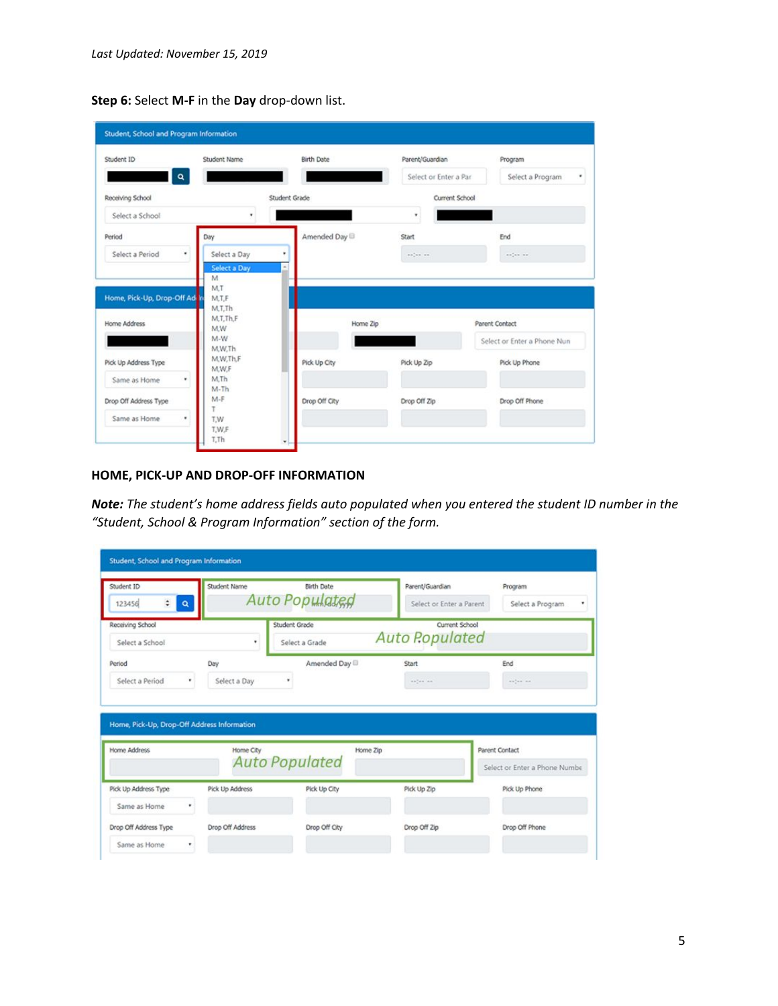**Step 6:** Select **M-F** in the **Day** drop-down list.

| Student ID                                    | Student Name              | <b>Birth Date</b> | Parent/Guardian       | Program                                       |
|-----------------------------------------------|---------------------------|-------------------|-----------------------|-----------------------------------------------|
| Q                                             |                           |                   | Select or Enter a Par | Select a Program<br>٠                         |
| Receiving School                              |                           | Student Grade     | Current School        |                                               |
| Select a School                               | ٠                         |                   | ٠                     |                                               |
| Period                                        | Day                       | Amended Day       | Start                 | End                                           |
| Select a Period                               | ٠<br>Select a Day         | ٠                 | ander an              | $\alpha=\frac{1}{2}$ and $\alpha=\frac{1}{2}$ |
|                                               | Select a Day<br>M         | ×.                |                       |                                               |
|                                               |                           |                   |                       |                                               |
|                                               | M.T<br>M.T.F              |                   |                       |                                               |
| Home, Pick-Up, Drop-Off Ad in<br>Home Address | M.T.Th<br>M.T.Th.F<br>M.W | Home Zip          |                       | Parent Contact                                |
|                                               | $M-W$<br>M,W.Th           |                   |                       | Select or Enter a Phone Nun                   |
| Pick Up Address Type                          | M.W.Th.F                  | Pick Up City      | Pick Up Zip           | Pick Up Phone                                 |
| Same as Home                                  | M.W.F<br>M.Th<br>۰.       |                   |                       |                                               |
| Drop Off Address Type                         | $M-Th$<br>$M-F$           | Drop Off City     | Drop Off Zip          | Drop Off Phone                                |

# **HOME, PICK-UP AND DROP-OFF INFORMATION**

*Note: The student's home address fields auto populated when you entered the student ID number in the "Student, School & Program Information" section of the form.*

| Student ID<br>$\ddot{\cdot}$<br>123456<br>$\mathbf{Q}$ | Student Name    | <b>Birth Date</b><br>Auto Populated | Parent/Guardian<br>Select or Enter a Parent | Program<br>Select a Program   |
|--------------------------------------------------------|-----------------|-------------------------------------|---------------------------------------------|-------------------------------|
| Receiving School<br>Select a School                    | ٠               | Student Grade<br>Select a Grade     | Current School<br><b>Auto Populated</b>     |                               |
| Period                                                 | Day             | Amended Day                         | Start                                       | End                           |
| Select a Period<br>٠                                   | Select a Day    | ٠                                   | notes an                                    | $\cdots \cdots \cdots$        |
| Home, Pick-Up, Drop-Off Address Information            |                 |                                     |                                             |                               |
| Home Address                                           | Home City       | Home Zip                            |                                             | Parent Contact                |
|                                                        |                 | <b>Auto Populated</b>               |                                             |                               |
|                                                        | Pick Up Address | Pick Up City                        | Pick Up Zip                                 | Pick Up Phone                 |
| Pick Up Address Type<br>Same as Home<br>٠              |                 |                                     |                                             | Select or Enter a Phone Numbe |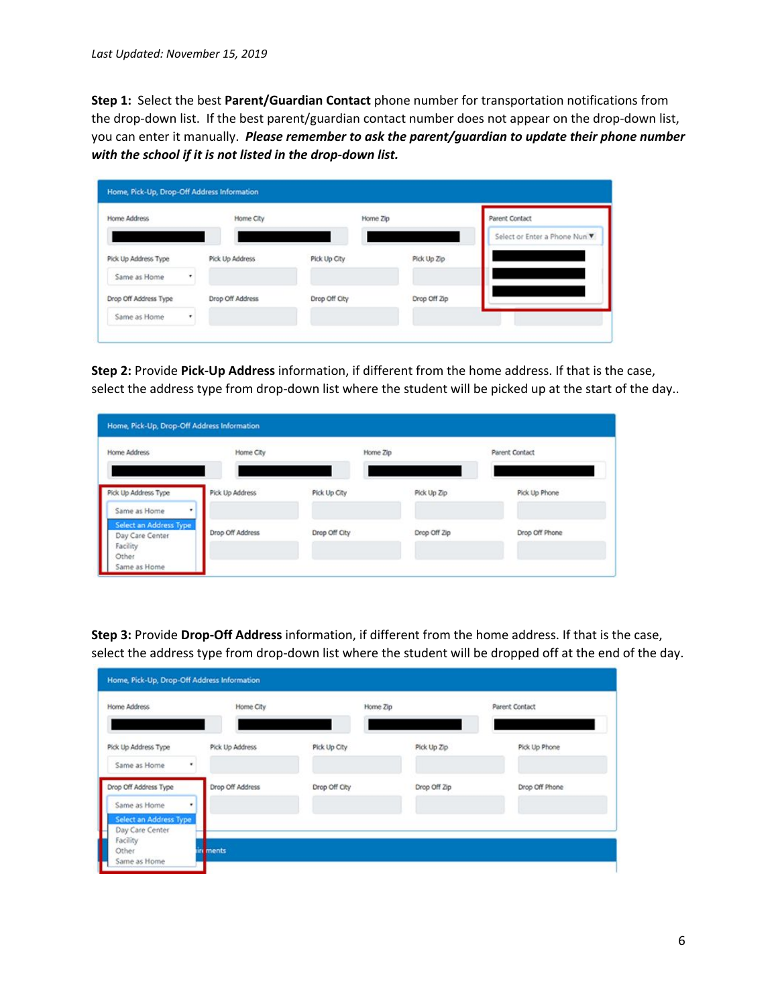**Step 1:** Select the best **Parent/Guardian Contact** phone number for transportation notifications from the drop-down list. If the best parent/guardian contact number does not appear on the drop-down list, you can enter it manually. *Please remember to ask the parent/guardian to update their phone number with the school if it is not listed in the drop-down list.*

| Home Address          | Home City        |               | Home Zip     | Parent Contact                |
|-----------------------|------------------|---------------|--------------|-------------------------------|
|                       |                  |               |              | Select or Enter a Phone Nun V |
| Pick Up Address Type  | Pick Up Address  | Pick Up City  | Pick Up Zip  |                               |
| Same as Home<br>٠     |                  |               |              |                               |
| Drop Off Address Type | Drop Off Address | Drop Off City | Drop Off Zip |                               |
| Same as Home          |                  |               |              |                               |

**Step 2:** Provide **Pick-Up Address** information, if different from the home address. If that is the case, select the address type from drop-down list where the student will be picked up at the start of the day..

| Home Address                                                          | Home City        |               | Home Zip     | Parent Contact |
|-----------------------------------------------------------------------|------------------|---------------|--------------|----------------|
| Pick Up Address Type<br>$\bullet$                                     | Pick Up Address  | Pick Up City  | Pick Up Zip  | Pick Up Phone  |
| Same as Home<br>Select an Address Type<br>Day Care Center<br>Facility | Drop Off Address | Drop Off City | Drop Off Zip | Drop Off Phone |

**Step 3:** Provide **Drop-Off Address** information, if different from the home address. If that is the case, select the address type from drop-down list where the student will be dropped off at the end of the day.

| Pick Up Address Type                                                 |                  |               |              |                |
|----------------------------------------------------------------------|------------------|---------------|--------------|----------------|
| Same as Home                                                         | Pick Up Address  | Pick Up City  | Pick Up Zip  | Pick Up Phone  |
| Drop Off Address Type<br>Same as Home<br>٠<br>Select an Address Type | Drop Off Address | Drop Off City | Drop Off Zip | Drop Off Phone |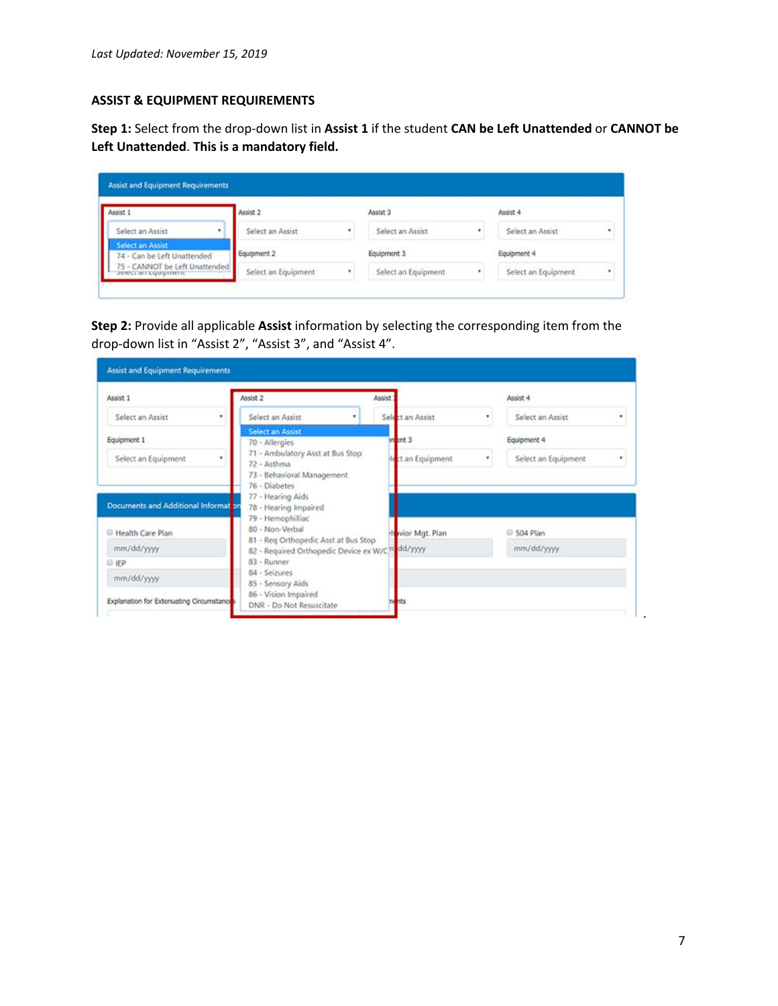### **ASSIST & EQUIPMENT REQUIREMENTS**

**Step 1:** Select from the drop-down list in **Assist 1** if the student **CAN be Left Unattended** or **CANNOT be Left Unattended**. **This is a mandatory field.**

| Assist 1                                               | Assist 2            | Assist 3            |   | Assist 4            |   |
|--------------------------------------------------------|---------------------|---------------------|---|---------------------|---|
| Select an Assist<br>٠                                  | Select an Assist    | Select an Assist    | ٠ | Select an Assist    | ٠ |
| <b>Select an Assist</b><br>74 - Can be Left Unattended | Equipment 2         | Equipment 3         |   | Equipment 4         |   |
| 75 - CANNOT be Left Unattended<br>зетест ап сдартнент  | Select an Equipment | Select an Equipment | ٠ | Select an Equipment | ٠ |

**Step 2:** Provide all applicable **Assist** information by selecting the corresponding item from the drop-down list in "Assist 2", "Assist 3", and "Assist 4".

| Assist 1                                 | Assist 2                                                                                            | Assist 1          | Assist 4            |   |
|------------------------------------------|-----------------------------------------------------------------------------------------------------|-------------------|---------------------|---|
| Select an Assist<br>٠                    | Select an Assist<br>٠                                                                               | Select an Assist  | Select an Assist    | ٠ |
| Equipment 1                              | <b>Select an Assist</b><br>70 - Allergies                                                           | $3m$ and 3        | Equipment 4         |   |
| Select an Equipment                      | 71 - Ambulatory Asst at Bus Stop<br>72 - Asthma<br>73 - Behavioral Management<br>76 - Diabetes      | ct an Equipment   | Select an Equipment | ٠ |
| Documents and Additional Information     | 77 - Hearing Aids<br>78 - Hearing Impaired<br>79 - Hemophilliac                                     |                   |                     |   |
| <b>E</b> Health Care Plan                | 80 - Non-Verbal                                                                                     | thevior Mgt. Plan | S04 Plan            |   |
| mm/dd/yyyy                               | 81 - Reg Orthopedic Asst at Bus Stop<br>82 - Required Orthopedic Device ex W/C <sup>n</sup> dd/yyyy |                   | mm/dd/yyyy          |   |
| 91EP                                     | 83 - Runner                                                                                         |                   |                     |   |
| mm/dd/yyyy                               | 84 - Seizures<br>85 - Sensory Aids                                                                  |                   |                     |   |
| Explanation for Extenuating Circumstance | 86 - Vision Impaired<br>DNR - Do Not Resuscitate                                                    | <b>hts</b>        |                     |   |

.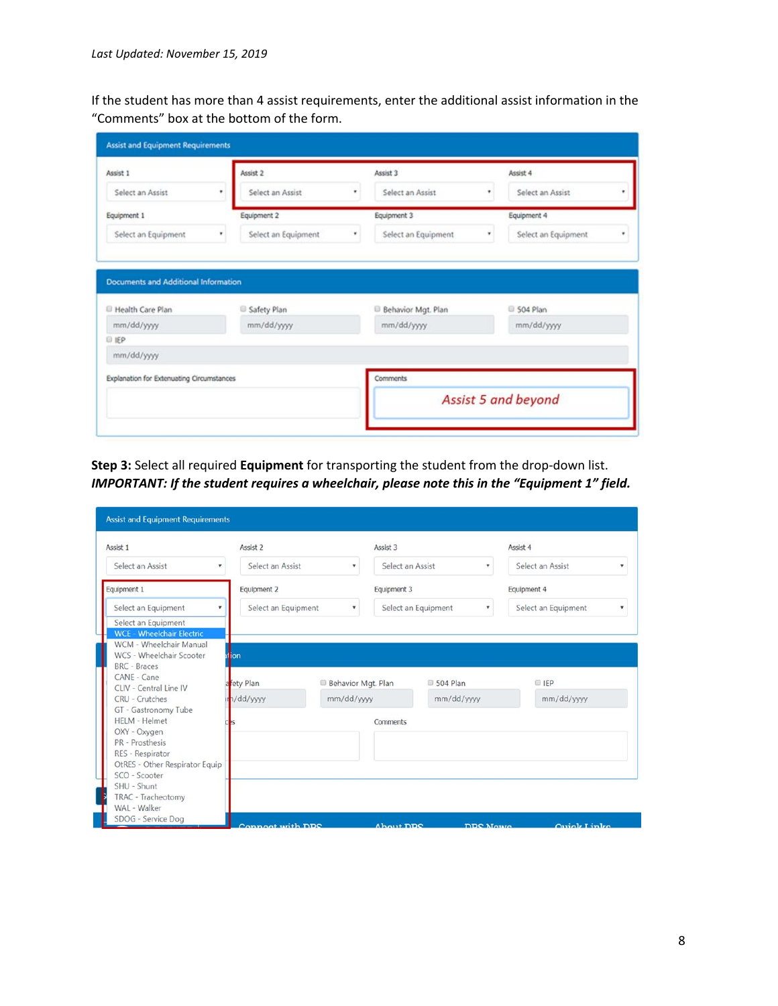If the student has more than 4 assist requirements, enter the additional assist information in the "Comments" box at the bottom of the form.

| Assist 1                                  | Assist 2                 | Assist 3                 |   | Assist 4            |   |
|-------------------------------------------|--------------------------|--------------------------|---|---------------------|---|
| Select an Assist                          | Select an Assist<br>٠    | Select an Assist         | ٠ | Select an Assist    |   |
| Equipment 1                               | Equipment 2              | Equipment 3              |   | Equipment 4         |   |
| Select an Equipment                       | Select an Equipment<br>٠ | Select an Equipment<br>٠ | ٠ | Select an Equipment | ٠ |
| Documents and Additional Information      |                          |                          |   |                     |   |
|                                           | Safety Plan              | Behavior Mgt. Plan       |   | S04 Plan            |   |
| mm/dd/yyyy                                | mm/dd/yyyy               | mm/dd/yyyy               |   | mm/dd/yyyy          |   |
| Health Care Plan<br>015P                  |                          |                          |   |                     |   |
| mm/dd/yyyy                                |                          |                          |   |                     |   |
| Explanation for Extenuating Circumstances |                          | Comments                 |   |                     |   |

**Step 3:** Select all required **Equipment** for transporting the student from the drop-down list. *IMPORTANT: If the student requires a wheelchair, please note this in the "Equipment 1" field.*

| Assist 1                                 | Assist 2              |                    | Assist 3         |                                                  | Assist 4            |   |
|------------------------------------------|-----------------------|--------------------|------------------|--------------------------------------------------|---------------------|---|
| Select an Assist<br>$\mathbf v$          | Select an Assist<br>۳ |                    | Select an Assist | ۷                                                | Select an Assist    |   |
| Equipment 1                              | Equipment 2           |                    | Equipment 3      |                                                  | Equipment 4         |   |
| Select an Equipment<br>۰                 | Select an Equipment   | ۷                  |                  | Select an Equipment<br>$\boldsymbol{\mathrm{v}}$ | Select an Equipment | ۷ |
| Select an Equipment                      |                       |                    |                  |                                                  |                     |   |
| <b>WCE - Wheelchair Electric</b>         |                       |                    |                  |                                                  |                     |   |
| WCM - Wheelchair Manual                  |                       |                    |                  |                                                  |                     |   |
| WCS - Wheelchair Scooter<br>BRC - Braces | al ion                |                    |                  |                                                  |                     |   |
| CANE - Cane                              |                       |                    |                  |                                                  |                     |   |
| CLIV - Central Line IV                   | fety Plan             | Behavior Mgt. Plan |                  | 504 Plan                                         | <b>E</b> IEP        |   |
| CRU - Crutches                           | h/dd/yyyy             | mm/dd/yyyy         |                  | mm/dd/yyyy                                       | mm/dd/yyyy          |   |
| GT - Gastronomy Tube                     |                       |                    |                  |                                                  |                     |   |
| <b>HELM - Helmet</b>                     |                       |                    | Comments         |                                                  |                     |   |
| OXY - Oxygen                             |                       |                    |                  |                                                  |                     |   |
| PR - Prosthesis                          |                       |                    |                  |                                                  |                     |   |
| RES - Respirator                         |                       |                    |                  |                                                  |                     |   |
| OtRES - Other Respirator Equip           |                       |                    |                  |                                                  |                     |   |
| SCO - Scooter                            |                       |                    |                  |                                                  |                     |   |
| SHU - Shunt                              |                       |                    |                  |                                                  |                     |   |
| TRAC - Tracheotomy<br>WAL - Walker       |                       |                    |                  |                                                  |                     |   |
|                                          |                       |                    |                  |                                                  |                     |   |
|                                          |                       |                    |                  |                                                  |                     |   |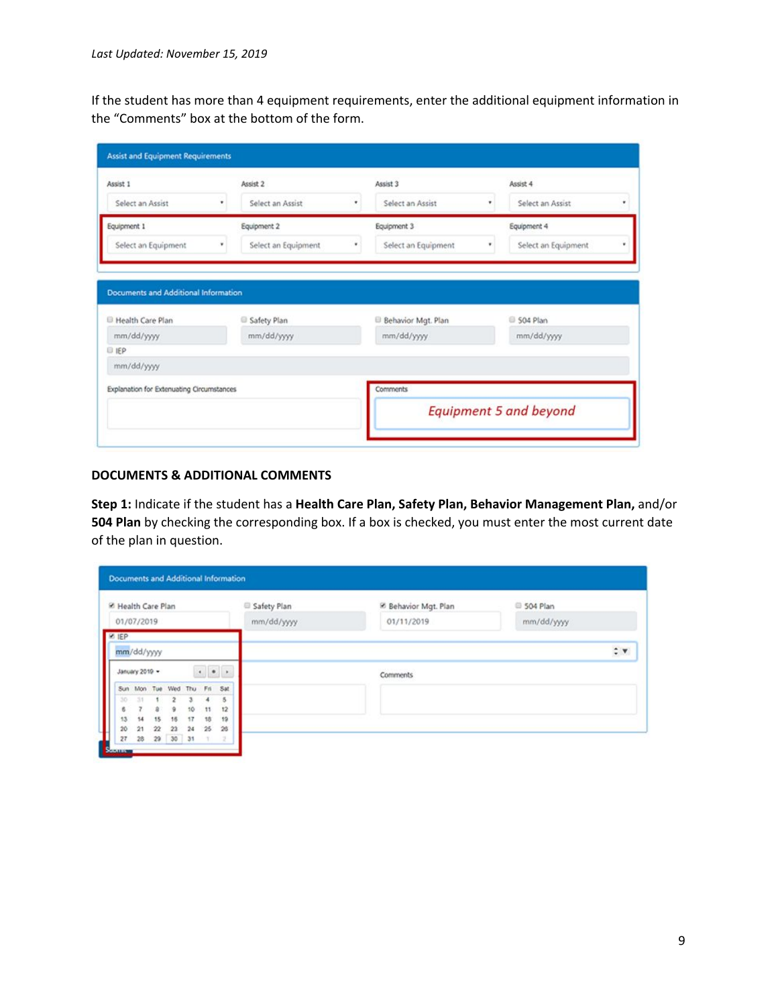If the student has more than 4 equipment requirements, enter the additional equipment information in the "Comments" box at the bottom of the form.

| Assist 1                                                                                | Assist 2            |   | Assist 3            |    | Assist 4            |   |
|-----------------------------------------------------------------------------------------|---------------------|---|---------------------|----|---------------------|---|
| Select an Assist<br>٠                                                                   | Select an Assist    | ٠ | Select an Assist    | ۳. | Select an Assist    | ٠ |
| Equipment 1                                                                             | Equipment 2         |   | Equipment 3         |    | Equipment 4         |   |
| Select an Equipment                                                                     | Select an Equipment |   | Select an Equipment |    | Select an Equipment |   |
|                                                                                         | Safety Plan         |   | Behavior Mgt. Plan  |    | S04 Plan            |   |
|                                                                                         |                     |   |                     |    |                     |   |
| Documents and Additional Information<br>Health Care Plan<br>mm/dd/yyyy<br><b>ID IEP</b> | mm/dd/yyyy          |   | mm/dd/yyyy          |    | mm/dd/yyyy          |   |
| mm/dd/yyyy                                                                              |                     |   |                     |    |                     |   |
| Explanation for Extenuating Circumstances                                               |                     |   | Comments            |    |                     |   |

# **DOCUMENTS & ADDITIONAL COMMENTS**

**Step 1:** Indicate if the student has a **Health Care Plan, Safety Plan, Behavior Management Plan,** and/or **504 Plan** by checking the corresponding box. If a box is checked, you must enter the most current date of the plan in question.

| <sup>86</sup> Health Care Plan                    |            | Safety Plan |                         |            | <sup>2</sup> Behavior Mgt. Plan | 504 Plan |  |  |          |
|---------------------------------------------------|------------|-------------|-------------------------|------------|---------------------------------|----------|--|--|----------|
| 01/07/2019                                        |            | mm/dd/yyyy  | 01/11/2019              | mm/dd/yyyy |                                 |          |  |  |          |
| E IEP                                             |            |             |                         |            |                                 |          |  |  |          |
|                                                   | mm/dd/yyyy |             |                         |            |                                 |          |  |  | $\div$ v |
| $\left\vert \cdot\right\vert$ .<br>January 2019 - |            |             |                         | Comments   |                                 |          |  |  |          |
|                                                   |            |             | Sun Mon Tue Wed Thu Fri |            |                                 | Sat      |  |  |          |
| 30                                                | 33         |             | 2                       |            |                                 | 5        |  |  |          |
| 6                                                 |            | a           | э                       | 10         | 11                              | 12       |  |  |          |
| 13                                                | 14         | 15          | 16                      | 17         | 18                              | 19       |  |  |          |
| 20                                                | 21         | $22\,$      | 22                      | 24         | 25                              | 26       |  |  |          |
|                                                   | 28         |             | 29 30 31                |            | T                               | $-2^{-}$ |  |  |          |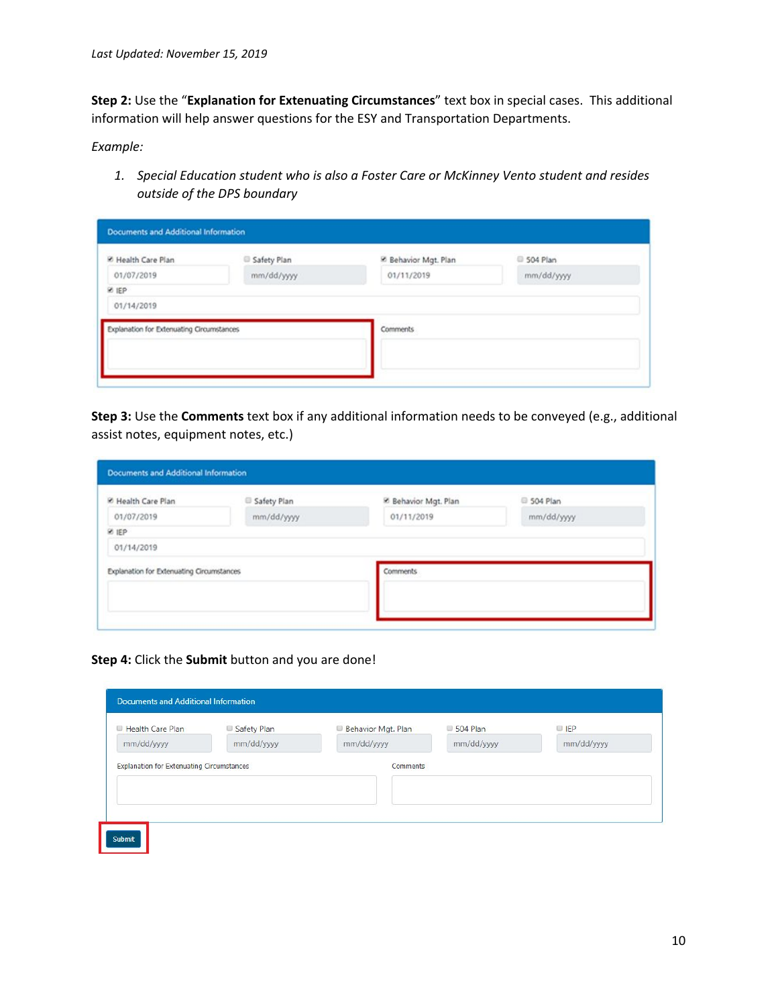**Step 2:** Use the "**Explanation for Extenuating Circumstances**" text box in special cases. This additional information will help answer questions for the ESY and Transportation Departments.

*Example:*

*1. Special Education student who is also a Foster Care or McKinney Vento student and resides outside of the DPS boundary*

| <b>E</b> Health Care Plan                 | Safety Plan | <sup>52</sup> Behavior Mgt. Plan | 2 504 Plan |
|-------------------------------------------|-------------|----------------------------------|------------|
| 01/07/2019                                | mm/dd/yyyy  | 01/11/2019                       | mm/dd/yyyy |
| <b>ER</b>                                 |             |                                  |            |
| 01/14/2019                                |             |                                  |            |
| Explanation for Extenuating Circumstances |             | Comments                         |            |
|                                           |             |                                  |            |
|                                           |             |                                  |            |

**Step 3:** Use the **Comments** text box if any additional information needs to be conveyed (e.g., additional assist notes, equipment notes, etc.)

| M Health Care Plan                        | Safety Plan | <sup>86</sup> Behavior Mgt. Plan | 2 504 Plan |
|-------------------------------------------|-------------|----------------------------------|------------|
| 01/07/2019                                | mm/dd/yyyy  | 01/11/2019                       | mm/dd/yyyy |
| <b>ER</b>                                 |             |                                  |            |
| 01/14/2019                                |             |                                  |            |
| Explanation for Extenuating Circumstances |             | <b>Comments</b>                  |            |
|                                           |             |                                  |            |

**Step 4:** Click the **Submit** button and you are done!

| Health Care Plan | Safety Plan | Behavior Mgt. Plan | 504 Plan   | P          |
|------------------|-------------|--------------------|------------|------------|
| mm/dd/yyyy       | mm/dd/yyyy  | mm/dd/yyyy         | mm/dd/yyyy | mm/dd/yyyy |
|                  |             |                    |            |            |
|                  |             |                    |            |            |